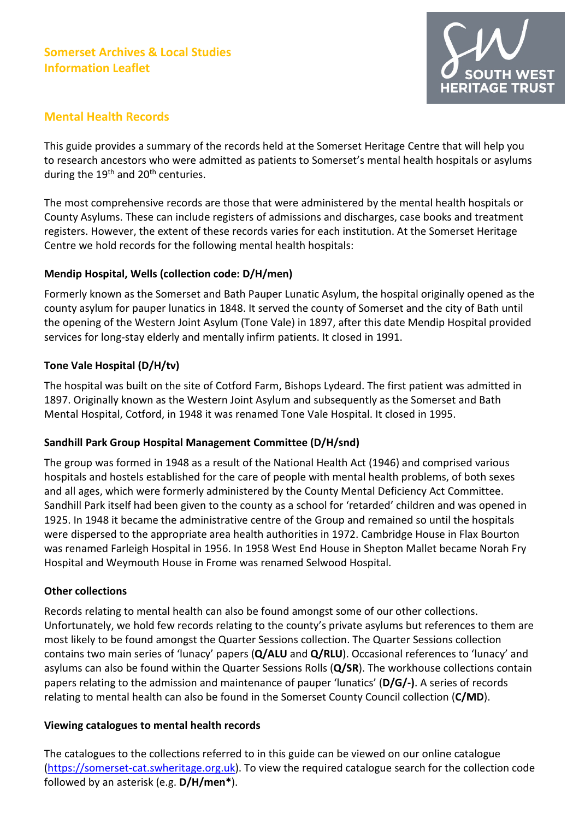# Somerset Archives & Local Studies Information Leaflet



## Mental Health Records

This guide provides a summary of the records held at the Somerset Heritage Centre that will help you to research ancestors who were admitted as patients to Somerset's mental health hospitals or asylums during the 19<sup>th</sup> and 20<sup>th</sup> centuries.

The most comprehensive records are those that were administered by the mental health hospitals or County Asylums. These can include registers of admissions and discharges, case books and treatment registers. However, the extent of these records varies for each institution. At the Somerset Heritage Centre we hold records for the following mental health hospitals:

### Mendip Hospital, Wells (collection code: D/H/men)

Formerly known as the Somerset and Bath Pauper Lunatic Asylum, the hospital originally opened as the county asylum for pauper lunatics in 1848. It served the county of Somerset and the city of Bath until the opening of the Western Joint Asylum (Tone Vale) in 1897, after this date Mendip Hospital provided services for long-stay elderly and mentally infirm patients. It closed in 1991.

## Tone Vale Hospital (D/H/tv)

The hospital was built on the site of Cotford Farm, Bishops Lydeard. The first patient was admitted in 1897. Originally known as the Western Joint Asylum and subsequently as the Somerset and Bath Mental Hospital, Cotford, in 1948 it was renamed Tone Vale Hospital. It closed in 1995.

### Sandhill Park Group Hospital Management Committee (D/H/snd)

The group was formed in 1948 as a result of the National Health Act (1946) and comprised various hospitals and hostels established for the care of people with mental health problems, of both sexes and all ages, which were formerly administered by the County Mental Deficiency Act Committee. Sandhill Park itself had been given to the county as a school for 'retarded' children and was opened in 1925. In 1948 it became the administrative centre of the Group and remained so until the hospitals were dispersed to the appropriate area health authorities in 1972. Cambridge House in Flax Bourton was renamed Farleigh Hospital in 1956. In 1958 West End House in Shepton Mallet became Norah Fry Hospital and Weymouth House in Frome was renamed Selwood Hospital.

### Other collections

Records relating to mental health can also be found amongst some of our other collections. Unfortunately, we hold few records relating to the county's private asylums but references to them are most likely to be found amongst the Quarter Sessions collection. The Quarter Sessions collection contains two main series of 'lunacy' papers (Q/ALU and Q/RLU). Occasional references to 'lunacy' and asylums can also be found within the Quarter Sessions Rolls (Q/SR). The workhouse collections contain papers relating to the admission and maintenance of pauper 'lunatics' (D/G/-). A series of records relating to mental health can also be found in the Somerset County Council collection (C/MD).

### Viewing catalogues to mental health records

The catalogues to the collections referred to in this guide can be viewed on our online catalogue (https://somerset-cat.swheritage.org.uk). To view the required catalogue search for the collection code followed by an asterisk (e.g. D/H/men\*).